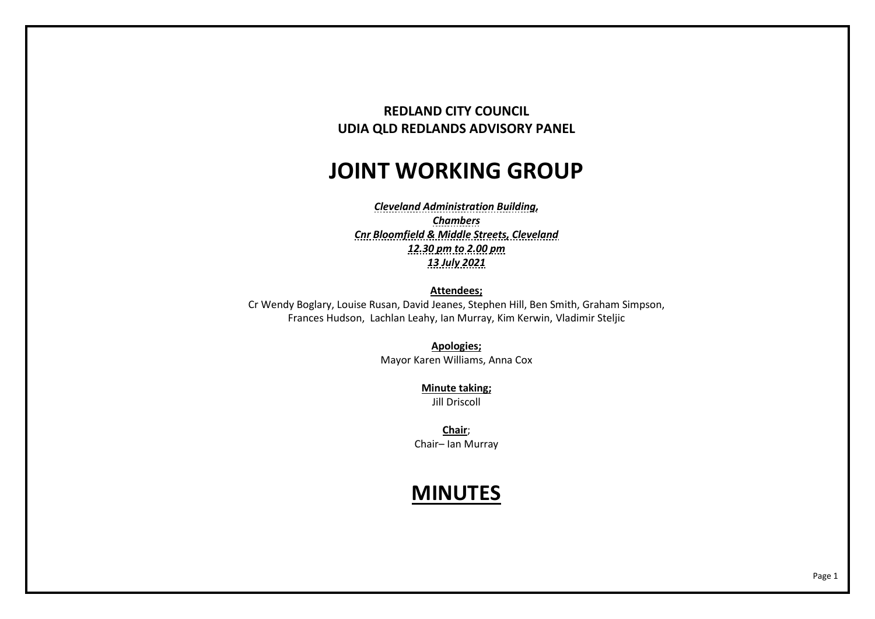# **REDLAND CITY COUNCIL UDIA QLD REDLANDS ADVISORY PANEL**

# **JOINT WORKING GROUP**

*Cleveland Administration Building, Chambers Cnr Bloomfield & Middle Streets, Cleveland 12.30 pm to 2.00 pm 13 July 2021* 

**Attendees;** 

Cr Wendy Boglary, Louise Rusan, David Jeanes, Stephen Hill, Ben Smith, Graham Simpson, Frances Hudson, Lachlan Leahy, Ian Murray, Kim Kerwin, Vladimir Steljic

> **Apologies;** Mayor Karen Williams, Anna Cox

> > **Minute taking;** Jill Driscoll

**Chair**; Chair– Ian Murray

# **MINUTES**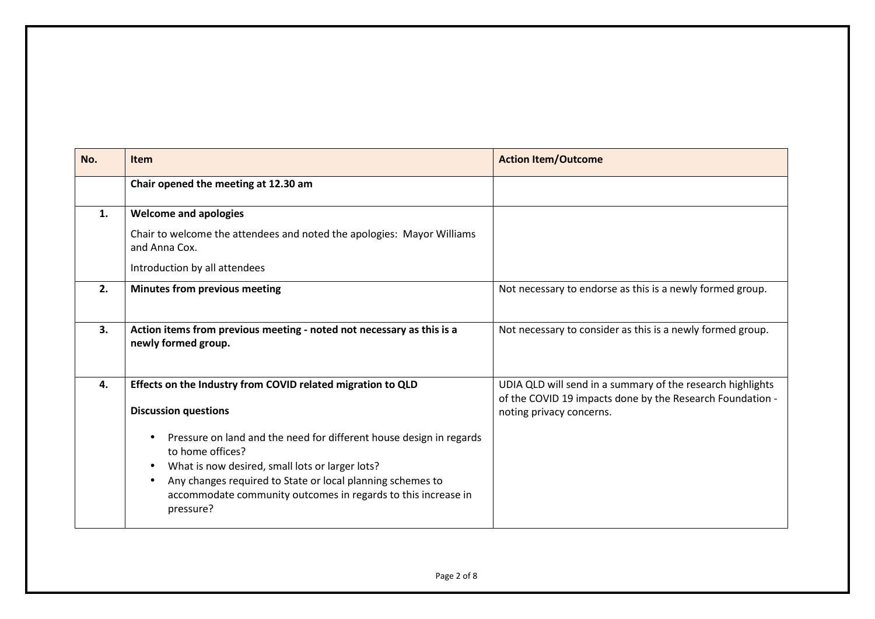| No. | <b>Item</b>                                                                                                                                                                                                                                                                            | <b>Action Item/Outcome</b>                                                                                                                          |
|-----|----------------------------------------------------------------------------------------------------------------------------------------------------------------------------------------------------------------------------------------------------------------------------------------|-----------------------------------------------------------------------------------------------------------------------------------------------------|
|     | Chair opened the meeting at 12.30 am                                                                                                                                                                                                                                                   |                                                                                                                                                     |
| 1.  | <b>Welcome and apologies</b>                                                                                                                                                                                                                                                           |                                                                                                                                                     |
|     | Chair to welcome the attendees and noted the apologies: Mayor Williams<br>and Anna Cox.                                                                                                                                                                                                |                                                                                                                                                     |
|     | Introduction by all attendees                                                                                                                                                                                                                                                          |                                                                                                                                                     |
| 2.  | Minutes from previous meeting                                                                                                                                                                                                                                                          | Not necessary to endorse as this is a newly formed group.                                                                                           |
| 3.  | Action items from previous meeting - noted not necessary as this is a<br>newly formed group.                                                                                                                                                                                           | Not necessary to consider as this is a newly formed group.                                                                                          |
| 4.  | Effects on the Industry from COVID related migration to QLD<br><b>Discussion questions</b>                                                                                                                                                                                             | UDIA QLD will send in a summary of the research highlights<br>of the COVID 19 impacts done by the Research Foundation -<br>noting privacy concerns. |
|     | Pressure on land and the need for different house design in regards<br>to home offices?<br>What is now desired, small lots or larger lots?<br>Any changes required to State or local planning schemes to<br>accommodate community outcomes in regards to this increase in<br>pressure? |                                                                                                                                                     |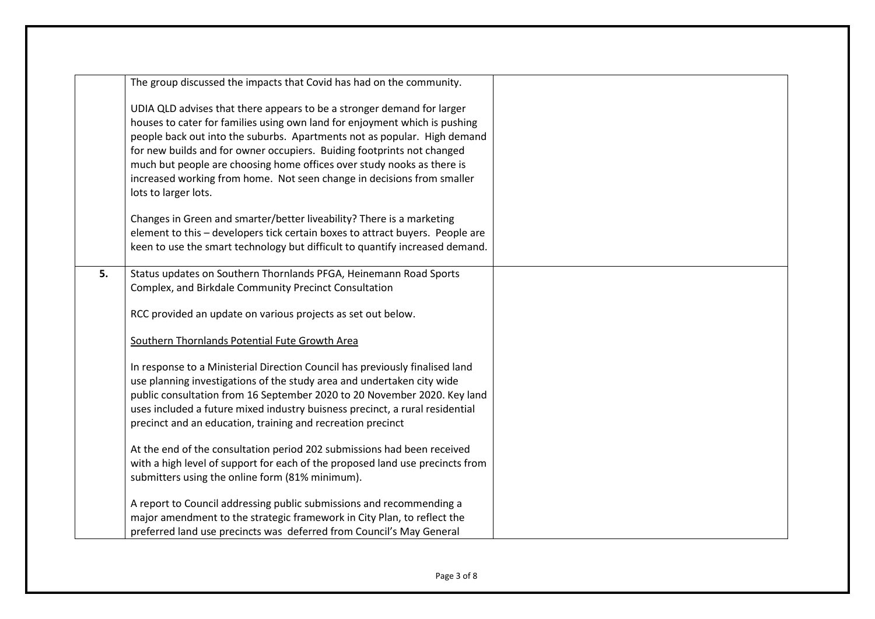|    | The group discussed the impacts that Covid has had on the community.          |  |
|----|-------------------------------------------------------------------------------|--|
|    | UDIA QLD advises that there appears to be a stronger demand for larger        |  |
|    | houses to cater for families using own land for enjoyment which is pushing    |  |
|    | people back out into the suburbs. Apartments not as popular. High demand      |  |
|    | for new builds and for owner occupiers. Buiding footprints not changed        |  |
|    | much but people are choosing home offices over study nooks as there is        |  |
|    | increased working from home. Not seen change in decisions from smaller        |  |
|    | lots to larger lots.                                                          |  |
|    | Changes in Green and smarter/better liveability? There is a marketing         |  |
|    | element to this - developers tick certain boxes to attract buyers. People are |  |
|    | keen to use the smart technology but difficult to quantify increased demand.  |  |
|    |                                                                               |  |
| 5. | Status updates on Southern Thornlands PFGA, Heinemann Road Sports             |  |
|    | Complex, and Birkdale Community Precinct Consultation                         |  |
|    |                                                                               |  |
|    | RCC provided an update on various projects as set out below.                  |  |
|    | Southern Thornlands Potential Fute Growth Area                                |  |
|    | In response to a Ministerial Direction Council has previously finalised land  |  |
|    | use planning investigations of the study area and undertaken city wide        |  |
|    | public consultation from 16 September 2020 to 20 November 2020. Key land      |  |
|    | uses included a future mixed industry buisness precinct, a rural residential  |  |
|    | precinct and an education, training and recreation precinct                   |  |
|    | At the end of the consultation period 202 submissions had been received       |  |
|    | with a high level of support for each of the proposed land use precincts from |  |
|    | submitters using the online form (81% minimum).                               |  |
|    |                                                                               |  |
|    | A report to Council addressing public submissions and recommending a          |  |
|    | major amendment to the strategic framework in City Plan, to reflect the       |  |
|    | preferred land use precincts was deferred from Council's May General          |  |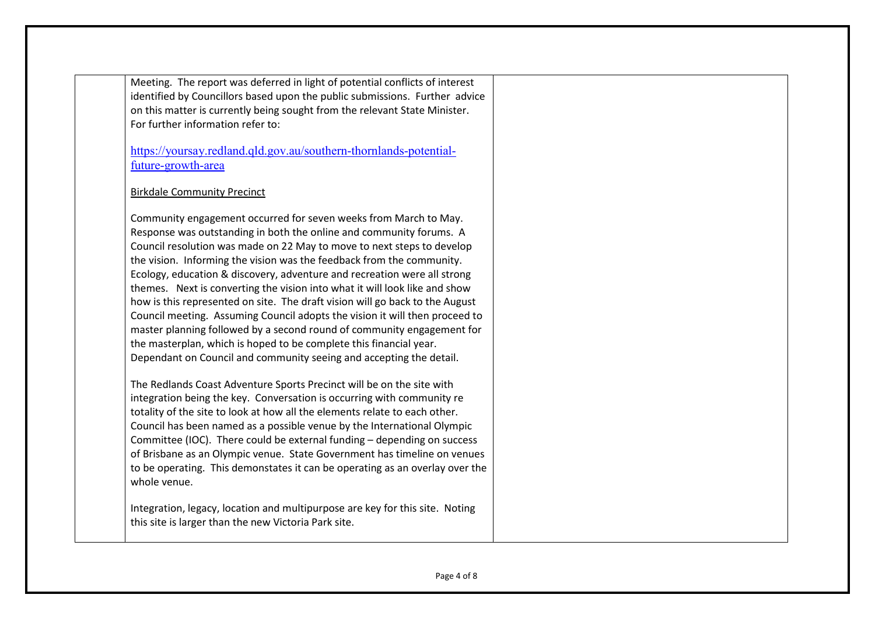Meeting. The report was deferred in light of potential conflicts of interest identified by Councillors based upon the public submissions. Further advice on this matter is currently being sought from the relevant State Minister. For further information refer to:

https://yoursay.redland.qld.gov.au/southern-thornlands-potentialfuture-growth-area

## Birkdale Community Precinct

Community engagement occurred for seven weeks from March to May. Response was outstanding in both the online and community forums. A Council resolution was made on 22 May to move to next steps to develop the vision. Informing the vision was the feedback from the community. Ecology, education & discovery, adventure and recreation were all strong themes. Next is converting the vision into what it will look like and show how is this represented on site. The draft vision will go back to the August Council meeting. Assuming Council adopts the vision it will then proceed to master planning followed by a second round of community engagement for the masterplan, which is hoped to be complete this financial year. Dependant on Council and community seeing and accepting the detail.

The Redlands Coast Adventure Sports Precinct will be on the site with integration being the key. Conversation is occurring with community re totality of the site to look at how all the elements relate to each other. Council has been named as a possible venue by the International Olympic Committee (IOC). There could be external funding – depending on success of Brisbane as an Olympic venue. State Government has timeline on venues to be operating. This demonstates it can be operating as an overlay over the whole venue.

Integration, legacy, location and multipurpose are key for this site. Noting this site is larger than the new Victoria Park site.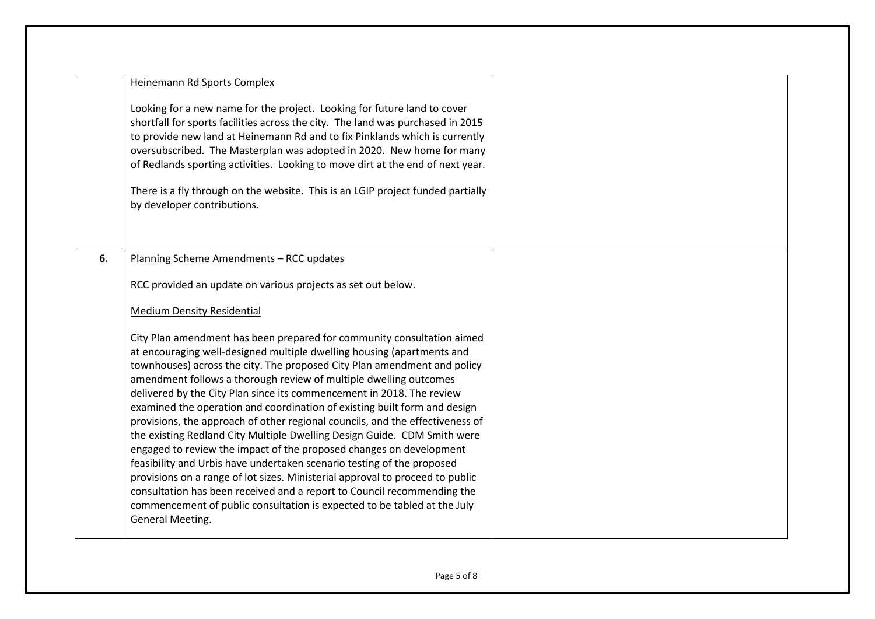|    | <b>Heinemann Rd Sports Complex</b>                                                                                                                                                                                                                                                                                                                                                                                                                                                                                                                                                                                                                                                                                                                                                                                                                     |  |
|----|--------------------------------------------------------------------------------------------------------------------------------------------------------------------------------------------------------------------------------------------------------------------------------------------------------------------------------------------------------------------------------------------------------------------------------------------------------------------------------------------------------------------------------------------------------------------------------------------------------------------------------------------------------------------------------------------------------------------------------------------------------------------------------------------------------------------------------------------------------|--|
|    | Looking for a new name for the project. Looking for future land to cover<br>shortfall for sports facilities across the city. The land was purchased in 2015<br>to provide new land at Heinemann Rd and to fix Pinklands which is currently<br>oversubscribed. The Masterplan was adopted in 2020. New home for many<br>of Redlands sporting activities. Looking to move dirt at the end of next year.<br>There is a fly through on the website. This is an LGIP project funded partially<br>by developer contributions.                                                                                                                                                                                                                                                                                                                                |  |
| 6. | Planning Scheme Amendments - RCC updates<br>RCC provided an update on various projects as set out below.                                                                                                                                                                                                                                                                                                                                                                                                                                                                                                                                                                                                                                                                                                                                               |  |
|    | <b>Medium Density Residential</b>                                                                                                                                                                                                                                                                                                                                                                                                                                                                                                                                                                                                                                                                                                                                                                                                                      |  |
|    | City Plan amendment has been prepared for community consultation aimed<br>at encouraging well-designed multiple dwelling housing (apartments and<br>townhouses) across the city. The proposed City Plan amendment and policy<br>amendment follows a thorough review of multiple dwelling outcomes<br>delivered by the City Plan since its commencement in 2018. The review<br>examined the operation and coordination of existing built form and design<br>provisions, the approach of other regional councils, and the effectiveness of<br>the existing Redland City Multiple Dwelling Design Guide. CDM Smith were<br>engaged to review the impact of the proposed changes on development<br>feasibility and Urbis have undertaken scenario testing of the proposed<br>provisions on a range of lot sizes. Ministerial approval to proceed to public |  |
|    | consultation has been received and a report to Council recommending the<br>commencement of public consultation is expected to be tabled at the July<br>General Meeting.                                                                                                                                                                                                                                                                                                                                                                                                                                                                                                                                                                                                                                                                                |  |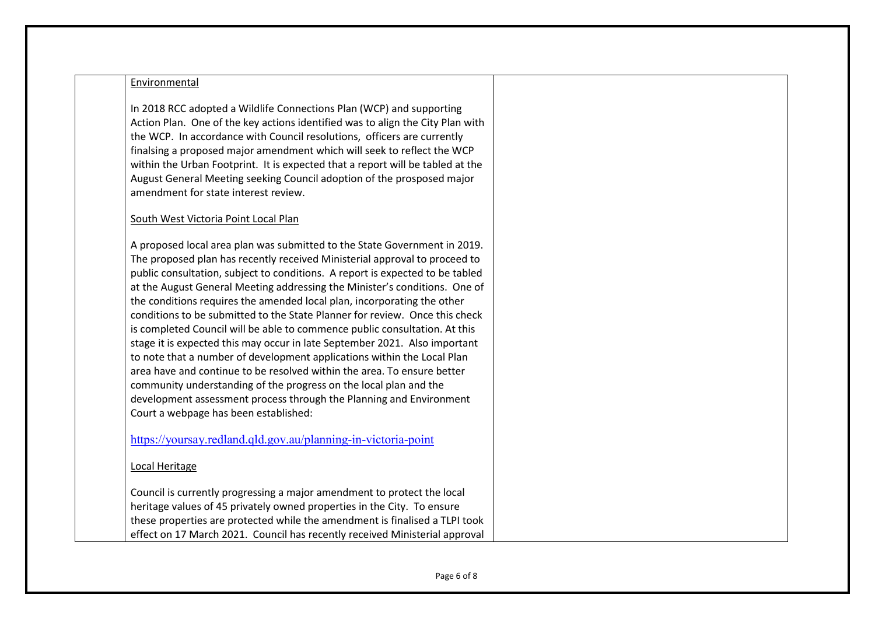#### Environmental

In 2018 RCC adopted a Wildlife Connections Plan (WCP) and supporting Action Plan. One of the key actions identified was to align the City Plan with the WCP. In accordance with Council resolutions, officers are currently finalsing a proposed major amendment which will seek to reflect the WCP within the Urban Footprint. It is expected that a report will be tabled at the August General Meeting seeking Council adoption of the prosposed major amendment for state interest review.

### South West Victoria Point Local Plan

A proposed local area plan was submitted to the State Government in 2019. The proposed plan has recently received Ministerial approval to proceed to public consultation, subject to conditions. A report is expected to be tabled at the August General Meeting addressing the Minister's conditions. One of the conditions requires the amended local plan, incorporating the other conditions to be submitted to the State Planner for review. Once this check is completed Council will be able to commence public consultation. At this stage it is expected this may occur in late September 2021. Also important to note that a number of development applications within the Local Plan area have and continue to be resolved within the area. To ensure better community understanding of the progress on the local plan and the development assessment process through the Planning and Environment Court a webpage has been established:

https://yoursay.redland.qld.gov.au/planning-in-victoria-point

### Local Heritage

Council is currently progressing a major amendment to protect the local heritage values of 45 privately owned properties in the City. To ensure these properties are protected while the amendment is finalised a TLPI took effect on 17 March 2021. Council has recently received Ministerial approval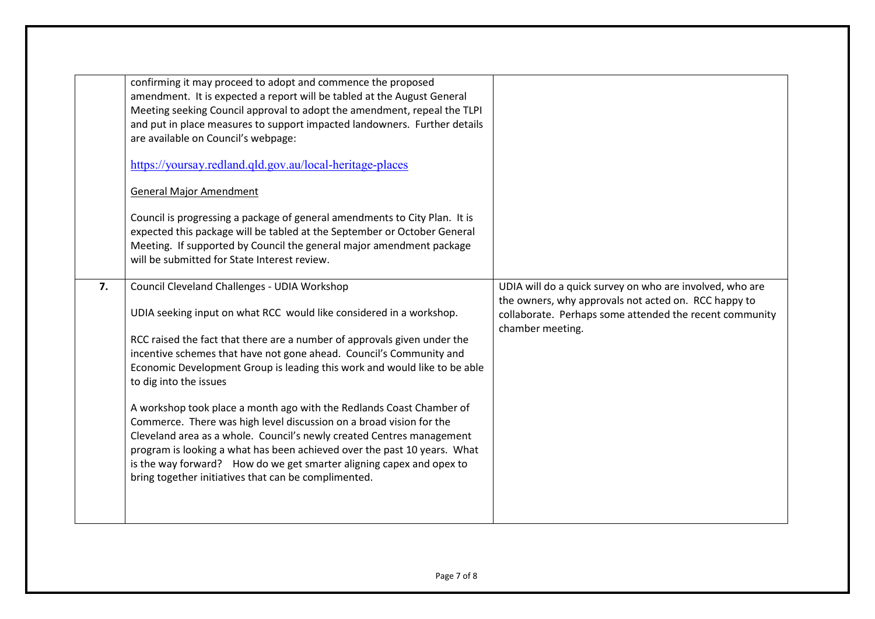|    | confirming it may proceed to adopt and commence the proposed<br>amendment. It is expected a report will be tabled at the August General<br>Meeting seeking Council approval to adopt the amendment, repeal the TLPI<br>and put in place measures to support impacted landowners. Further details<br>are available on Council's webpage:<br>https://yoursay.redland.qld.gov.au/local-heritage-places<br><b>General Major Amendment</b><br>Council is progressing a package of general amendments to City Plan. It is<br>expected this package will be tabled at the September or October General<br>Meeting. If supported by Council the general major amendment package<br>will be submitted for State Interest review.                                                                                           |                                                                                                                                                                                                 |
|----|-------------------------------------------------------------------------------------------------------------------------------------------------------------------------------------------------------------------------------------------------------------------------------------------------------------------------------------------------------------------------------------------------------------------------------------------------------------------------------------------------------------------------------------------------------------------------------------------------------------------------------------------------------------------------------------------------------------------------------------------------------------------------------------------------------------------|-------------------------------------------------------------------------------------------------------------------------------------------------------------------------------------------------|
| 7. | Council Cleveland Challenges - UDIA Workshop<br>UDIA seeking input on what RCC would like considered in a workshop.<br>RCC raised the fact that there are a number of approvals given under the<br>incentive schemes that have not gone ahead. Council's Community and<br>Economic Development Group is leading this work and would like to be able<br>to dig into the issues<br>A workshop took place a month ago with the Redlands Coast Chamber of<br>Commerce. There was high level discussion on a broad vision for the<br>Cleveland area as a whole. Council's newly created Centres management<br>program is looking a what has been achieved over the past 10 years. What<br>is the way forward? How do we get smarter aligning capex and opex to<br>bring together initiatives that can be complimented. | UDIA will do a quick survey on who are involved, who are<br>the owners, why approvals not acted on. RCC happy to<br>collaborate. Perhaps some attended the recent community<br>chamber meeting. |